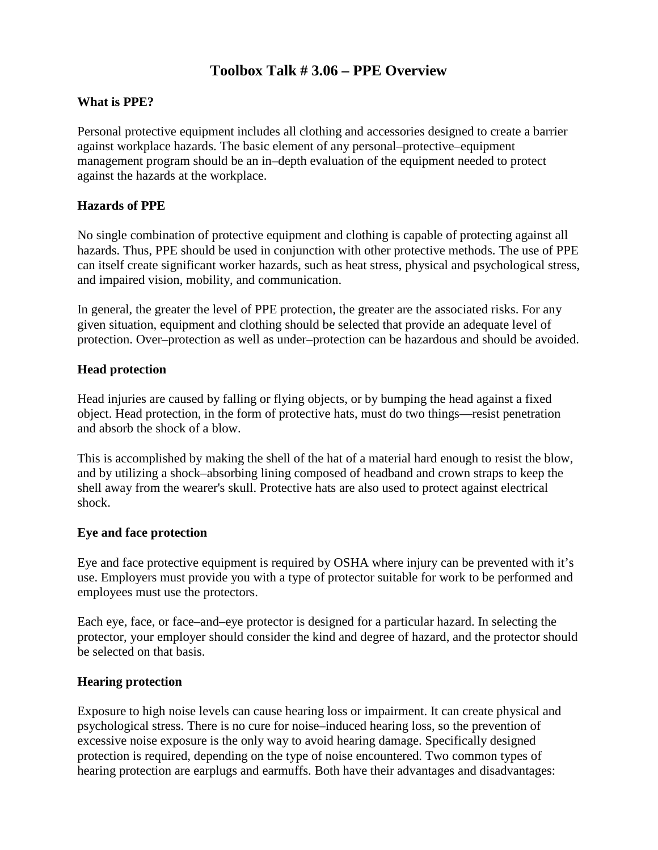### **Toolbox Talk # 3.06 – PPE Overview**

#### **What is PPE?**

Personal protective equipment includes all clothing and accessories designed to create a barrier against workplace hazards. The basic element of any personal–protective–equipment management program should be an in–depth evaluation of the equipment needed to protect against the hazards at the workplace.

#### **Hazards of PPE**

No single combination of protective equipment and clothing is capable of protecting against all hazards. Thus, PPE should be used in conjunction with other protective methods. The use of PPE can itself create significant worker hazards, such as heat stress, physical and psychological stress, and impaired vision, mobility, and communication.

In general, the greater the level of PPE protection, the greater are the associated risks. For any given situation, equipment and clothing should be selected that provide an adequate level of protection. Over–protection as well as under–protection can be hazardous and should be avoided.

#### **Head protection**

Head injuries are caused by falling or flying objects, or by bumping the head against a fixed object. Head protection, in the form of protective hats, must do two things—resist penetration and absorb the shock of a blow.

This is accomplished by making the shell of the hat of a material hard enough to resist the blow, and by utilizing a shock–absorbing lining composed of headband and crown straps to keep the shell away from the wearer's skull. Protective hats are also used to protect against electrical shock.

#### **Eye and face protection**

Eye and face protective equipment is required by OSHA where injury can be prevented with it's use. Employers must provide you with a type of protector suitable for work to be performed and employees must use the protectors.

Each eye, face, or face–and–eye protector is designed for a particular hazard. In selecting the protector, your employer should consider the kind and degree of hazard, and the protector should be selected on that basis.

#### **Hearing protection**

Exposure to high noise levels can cause hearing loss or impairment. It can create physical and psychological stress. There is no cure for noise–induced hearing loss, so the prevention of excessive noise exposure is the only way to avoid hearing damage. Specifically designed protection is required, depending on the type of noise encountered. Two common types of hearing protection are earplugs and earmuffs. Both have their advantages and disadvantages: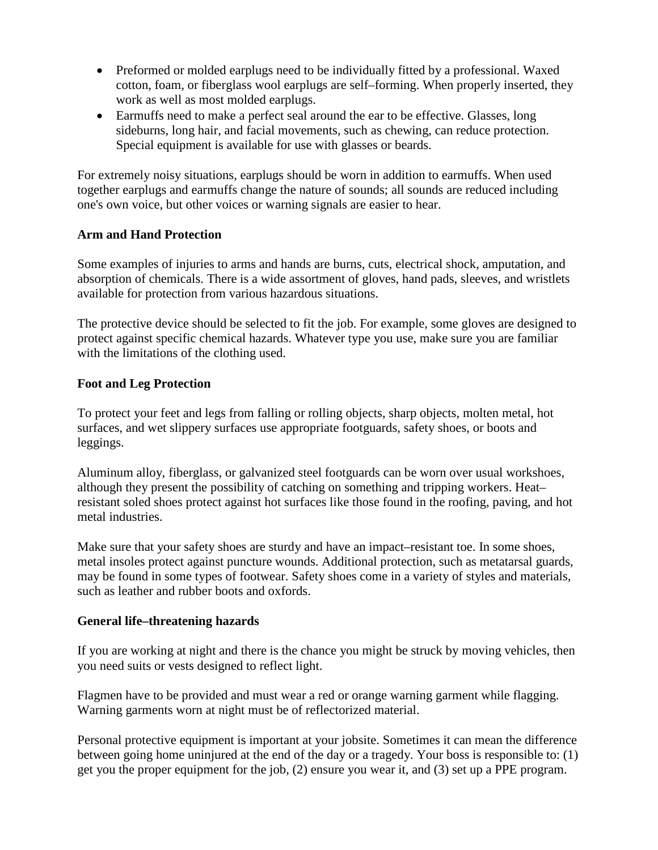- Preformed or molded earplugs need to be individually fitted by a professional. Waxed cotton, foam, or fiberglass wool earplugs are self–forming. When properly inserted, they work as well as most molded earplugs.
- Earmuffs need to make a perfect seal around the ear to be effective. Glasses, long sideburns, long hair, and facial movements, such as chewing, can reduce protection. Special equipment is available for use with glasses or beards.

For extremely noisy situations, earplugs should be worn in addition to earmuffs. When used together earplugs and earmuffs change the nature of sounds; all sounds are reduced including one's own voice, but other voices or warning signals are easier to hear.

#### **Arm and Hand Protection**

Some examples of injuries to arms and hands are burns, cuts, electrical shock, amputation, and absorption of chemicals. There is a wide assortment of gloves, hand pads, sleeves, and wristlets available for protection from various hazardous situations.

The protective device should be selected to fit the job. For example, some gloves are designed to protect against specific chemical hazards. Whatever type you use, make sure you are familiar with the limitations of the clothing used.

#### **Foot and Leg Protection**

To protect your feet and legs from falling or rolling objects, sharp objects, molten metal, hot surfaces, and wet slippery surfaces use appropriate footguards, safety shoes, or boots and leggings.

Aluminum alloy, fiberglass, or galvanized steel footguards can be worn over usual workshoes, although they present the possibility of catching on something and tripping workers. Heat– resistant soled shoes protect against hot surfaces like those found in the roofing, paving, and hot metal industries.

Make sure that your safety shoes are sturdy and have an impact–resistant toe. In some shoes, metal insoles protect against puncture wounds. Additional protection, such as metatarsal guards, may be found in some types of footwear. Safety shoes come in a variety of styles and materials, such as leather and rubber boots and oxfords.

#### **General life–threatening hazards**

If you are working at night and there is the chance you might be struck by moving vehicles, then you need suits or vests designed to reflect light.

Flagmen have to be provided and must wear a red or orange warning garment while flagging. Warning garments worn at night must be of reflectorized material.

Personal protective equipment is important at your jobsite. Sometimes it can mean the difference between going home uninjured at the end of the day or a tragedy. Your boss is responsible to: (1) get you the proper equipment for the job, (2) ensure you wear it, and (3) set up a PPE program.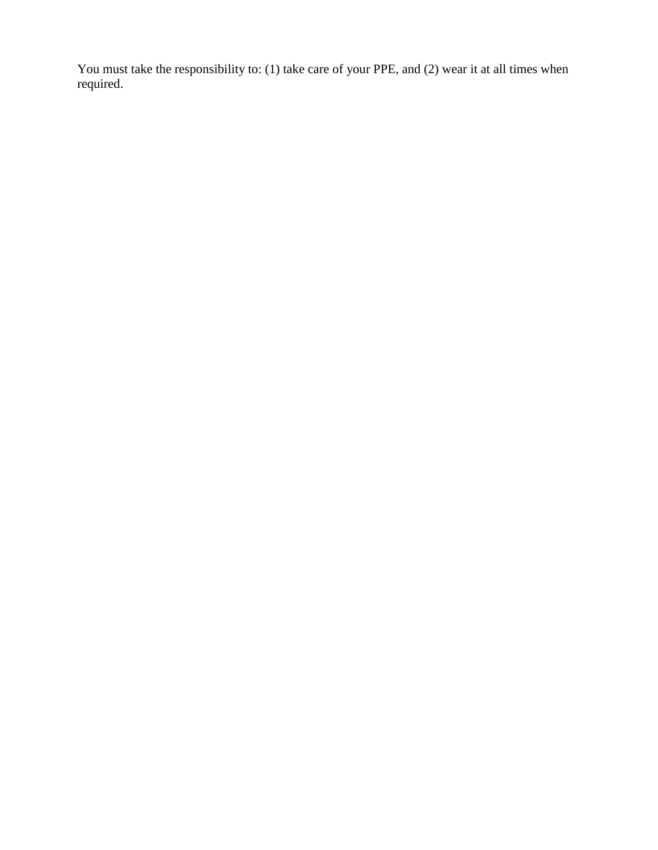You must take the responsibility to: (1) take care of your PPE, and (2) wear it at all times when required.